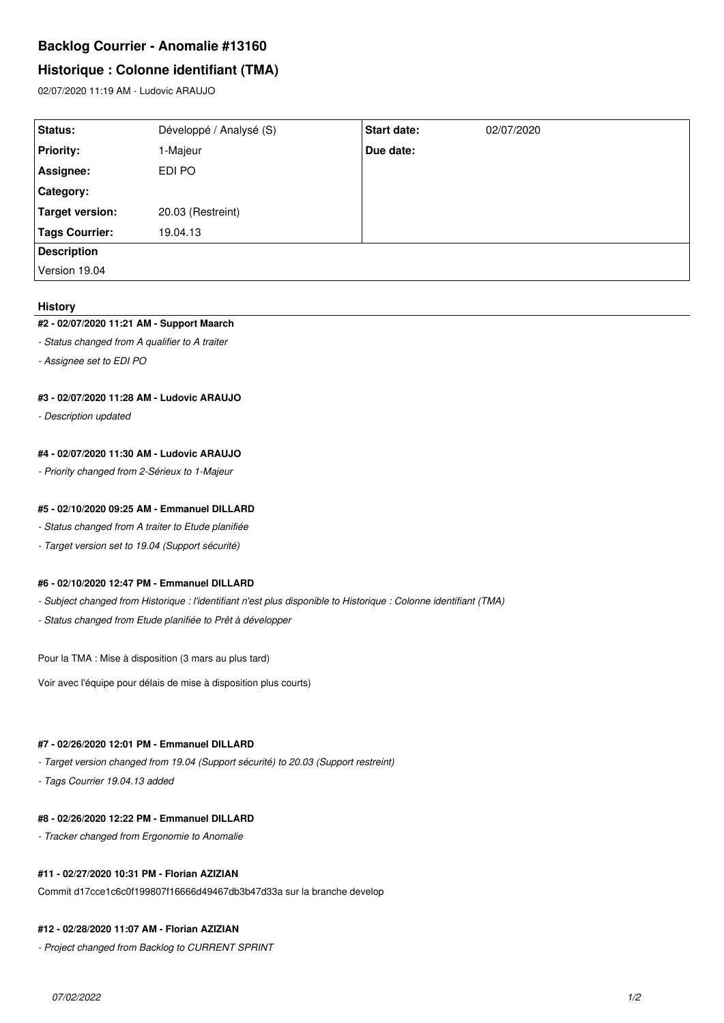# **Backlog Courrier - Anomalie #13160**

# **Historique : Colonne identifiant (TMA)**

02/07/2020 11:19 AM - Ludovic ARAUJO

| <b>Status:</b>         | Développé / Analysé (S) | <b>Start date:</b> | 02/07/2020 |
|------------------------|-------------------------|--------------------|------------|
| <b>Priority:</b>       | 1-Majeur                | Due date:          |            |
| Assignee:              | EDI PO                  |                    |            |
| <b>Category:</b>       |                         |                    |            |
| <b>Target version:</b> | 20.03 (Restreint)       |                    |            |
| <b>Tags Courrier:</b>  | 19.04.13                |                    |            |
| <b>Description</b>     |                         |                    |            |
| Version 19.04          |                         |                    |            |

#### **History**

#### **#2 - 02/07/2020 11:21 AM - Support Maarch**

- *Status changed from A qualifier to A traiter*
- *Assignee set to EDI PO*

#### **#3 - 02/07/2020 11:28 AM - Ludovic ARAUJO**

*- Description updated*

#### **#4 - 02/07/2020 11:30 AM - Ludovic ARAUJO**

*- Priority changed from 2-Sérieux to 1-Majeur*

#### **#5 - 02/10/2020 09:25 AM - Emmanuel DILLARD**

- *Status changed from A traiter to Etude planifiée*
- *Target version set to 19.04 (Support sécurité)*

#### **#6 - 02/10/2020 12:47 PM - Emmanuel DILLARD**

- *Subject changed from Historique : l'identifiant n'est plus disponible to Historique : Colonne identifiant (TMA)*
- *Status changed from Etude planifiée to Prêt à développer*

Pour la TMA : Mise à disposition (3 mars au plus tard)

Voir avec l'équipe pour délais de mise à disposition plus courts)

## **#7 - 02/26/2020 12:01 PM - Emmanuel DILLARD**

- *Target version changed from 19.04 (Support sécurité) to 20.03 (Support restreint)*
- *Tags Courrier 19.04.13 added*

## **#8 - 02/26/2020 12:22 PM - Emmanuel DILLARD**

*- Tracker changed from Ergonomie to Anomalie*

## **#11 - 02/27/2020 10:31 PM - Florian AZIZIAN**

Commit d17cce1c6c0f199807f16666d49467db3b47d33a sur la branche develop

## **#12 - 02/28/2020 11:07 AM - Florian AZIZIAN**

*- Project changed from Backlog to CURRENT SPRINT*